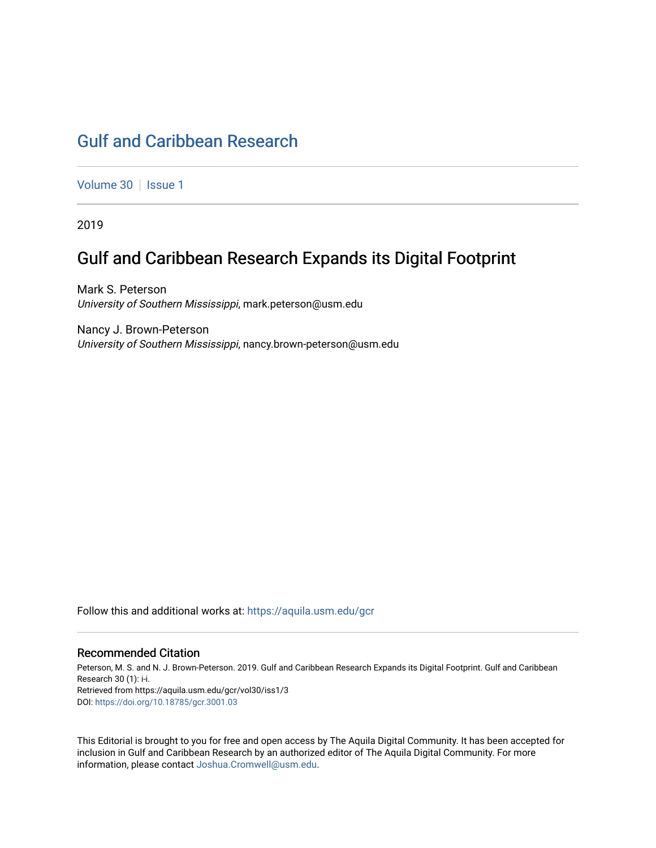# [Gulf and Caribbean Research](https://aquila.usm.edu/gcr)

[Volume 30](https://aquila.usm.edu/gcr/vol30) | [Issue 1](https://aquila.usm.edu/gcr/vol30/iss1)

2019

## Gulf and Caribbean Research Expands its Digital Footprint

Mark S. Peterson University of Southern Mississippi, mark.peterson@usm.edu

Nancy J. Brown-Peterson University of Southern Mississippi, nancy.brown-peterson@usm.edu

Follow this and additional works at: [https://aquila.usm.edu/gcr](https://aquila.usm.edu/gcr?utm_source=aquila.usm.edu%2Fgcr%2Fvol30%2Fiss1%2F3&utm_medium=PDF&utm_campaign=PDFCoverPages) 

#### Recommended Citation

Peterson, M. S. and N. J. Brown-Peterson. 2019. Gulf and Caribbean Research Expands its Digital Footprint. Gulf and Caribbean Research 30 (1): i-i. Retrieved from https://aquila.usm.edu/gcr/vol30/iss1/3 DOI: <https://doi.org/10.18785/gcr.3001.03>

This Editorial is brought to you for free and open access by The Aquila Digital Community. It has been accepted for inclusion in Gulf and Caribbean Research by an authorized editor of The Aquila Digital Community. For more information, please contact [Joshua.Cromwell@usm.edu.](mailto:Joshua.Cromwell@usm.edu)